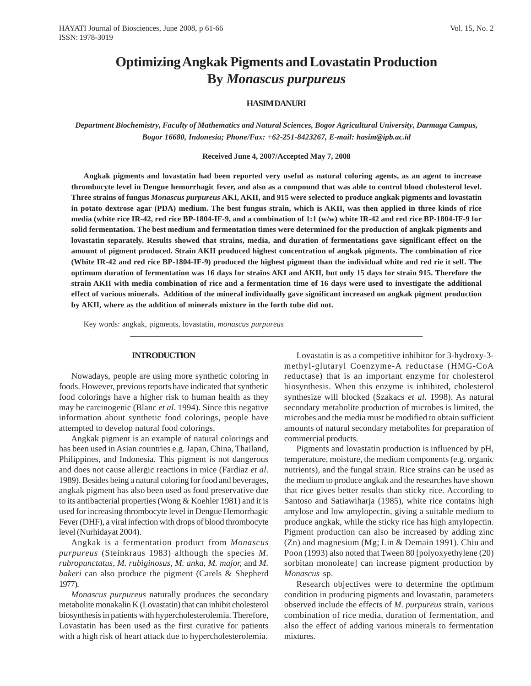# **Optimizing Angkak Pigments and Lovastatin Production By** *Monascus purpureus*

## **HASIM DANURI**

*Department Biochemistry, Faculty of Mathematics and Natural Sciences, Bogor Agricultural University, Darmaga Campus, Bogor 16680, Indonesia; Phone/Fax: +62-251-8423267, E-mail: hasim@ipb.ac.id*

#### **Received June 4, 2007/Accepted May 7, 2008**

**Angkak pigments and lovastatin had been reported very useful as natural coloring agents, as an agent to increase thrombocyte level in Dengue hemorrhagic fever, and also as a compound that was able to control blood cholesterol level. Three strains of fungus** *Monascus purpureus* **AKI, AKII, and 915 were selected to produce angkak pigments and lovastatin in potato dextrose agar (PDA) medium. The best fungus strain, which is AKII, was then applied in three kinds of rice media (white rice IR-42, red rice BP-1804-IF-9, and a combination of 1:1 (w/w) white IR-42 and red rice BP-1804-IF-9 for solid fermentation. The best medium and fermentation times were determined for the production of angkak pigments and lovastatin separately. Results showed that strains, media, and duration of fermentations gave significant effect on the amount of pigment produced. Strain AKII produced highest concentration of angkak pigments. The combination of rice (White IR-42 and red rice BP-1804-IF-9) produced the highest pigment than the individual white and red rie it self. The optimum duration of fermentation was 16 days for strains AKI and AKII, but only 15 days for strain 915. Therefore the strain AKII with media combination of rice and a fermentation time of 16 days were used to investigate the additional effect of various minerals. Addition of the mineral individually gave significant increased on angkak pigment production by AKII, where as the addition of minerals mixture in the forth tube did not.**

**\_\_\_\_\_\_\_\_\_\_\_\_\_\_\_\_\_\_\_\_\_\_\_\_\_\_\_\_\_\_\_\_\_\_\_\_\_\_\_\_\_\_\_\_\_\_\_\_\_\_\_\_\_\_\_\_\_\_\_\_\_\_\_\_\_\_\_\_\_\_\_\_\_\_\_**

Key words: angkak, pigments, lovastatin, *monascus purpureus*

## **INTRODUCTION**

Nowadays, people are using more synthetic coloring in foods. However, previous reports have indicated that synthetic food colorings have a higher risk to human health as they may be carcinogenic (Blanc *et al*. 1994). Since this negative information about synthetic food colorings, people have attempted to develop natural food colorings.

Angkak pigment is an example of natural colorings and has been used in Asian countries e.g. Japan, China, Thailand, Philippines, and Indonesia. This pigment is not dangerous and does not cause allergic reactions in mice (Fardiaz *et al*. 1989). Besides being a natural coloring for food and beverages, angkak pigment has also been used as food preservative due to its antibacterial properties (Wong & Koehler 1981) and it is used for increasing thrombocyte level in Dengue Hemorrhagic Fever (DHF), a viral infection with drops of blood thrombocyte level (Nurhidayat 2004).

Angkak is a fermentation product from *Monascus purpureus* (Steinkraus 1983) although the species *M. rubropunctatus, M. rubiginosus*, *M. anka*, *M. major,* and *M. bakeri* can also produce the pigment (Carels & Shepherd 1977).

*Monascus purpureus* naturally produces the secondary metabolite monakalin K (Lovastatin) that can inhibit cholesterol biosynthesis in patients with hypercholesterolemia. Therefore, Lovastatin has been used as the first curative for patients with a high risk of heart attack due to hypercholesterolemia.

Lovastatin is as a competitive inhibitor for 3-hydroxy-3 methyl-glutaryl Coenzyme-A reductase (HMG-CoA reductase) that is an important enzyme for cholesterol biosynthesis. When this enzyme is inhibited, cholesterol synthesize will blocked (Szakacs *et al.* 1998). As natural secondary metabolite production of microbes is limited, the microbes and the media must be modified to obtain sufficient amounts of natural secondary metabolites for preparation of commercial products.

Pigments and lovastatin production is influenced by pH, temperature, moisture, the medium components (e.g. organic nutrients), and the fungal strain. Rice strains can be used as the medium to produce angkak and the researches have shown that rice gives better results than sticky rice. According to Santoso and Satiawiharja (1985), white rice contains high amylose and low amylopectin, giving a suitable medium to produce angkak, while the sticky rice has high amylopectin. Pigment production can also be increased by adding zinc (Zn) and magnesium (Mg; Lin & Demain 1991). Chiu and Poon (1993) also noted that Tween 80 [polyoxyethylene (20) sorbitan monoleate] can increase pigment production by *Monascus* sp.

Research objectives were to determine the optimum condition in producing pigments and lovastatin, parameters observed include the effects of *M. purpureus* strain, various combination of rice media, duration of fermentation, and also the effect of adding various minerals to fermentation mixtures.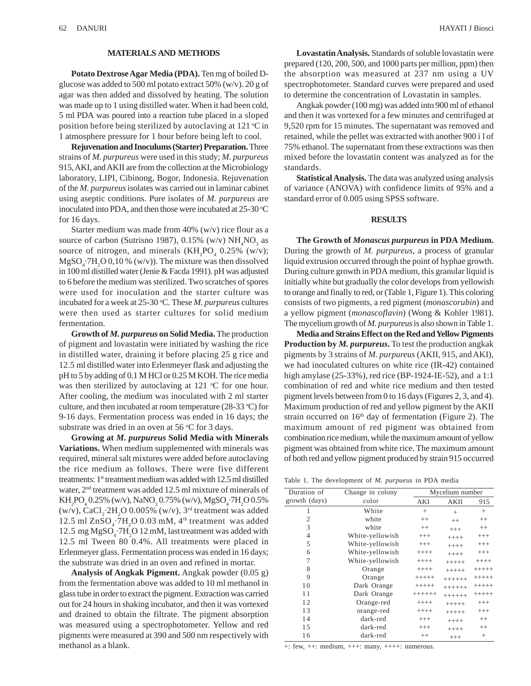# **MATERIALS AND METHODS**

**Potato Dextrose Agar Media (PDA).** Ten mg of boiled Dglucose was added to 500 ml potato extract 50% (w/v). 20 g of agar was then added and dissolved by heating. The solution was made up to 1 using distilled water. When it had been cold, 5 ml PDA was poured into a reaction tube placed in a sloped position before being sterilized by autoclaving at  $121 \text{ }^{\circ}\text{C}$  in 1 atmosphere pressure for 1 hour before being left to cool.

**Rejuvenation and Inoculums (Starter) Preparation.** Three strains of *M. purpureus* were used in this study; *M. purpureus* 915, AKI, and AKII are from the collection at the Microbiology laboratory, LIPI, Cibinong, Bogor, Indonesia. Rejuvenation of the *M. purpureus* isolates was carried out in laminar cabinet using aseptic conditions. Pure isolates of *M. purpureus* are inoculated into PDA, and then those were incubated at  $25\text{-}30\text{ }^{\circ}\text{C}$ for 16 days.

Starter medium was made from 40% (w/v) rice flour as a source of carbon (Sutrisno 1987),  $0.15\%$  (w/v)  $NH<sub>4</sub>NO<sub>3</sub>$  as source of nitrogen, and minerals  $(KH_2PO_4 \t0.25\t% (w/v);$  $MgSO_{4}$ :7H<sub>2</sub>O 0,10 % (w/v)). The mixture was then dissolved in 100 ml distilled water (Jenie & Facda 1991). pH was adjusted to 6 before the medium was sterilized. Two scratches of spores were used for inoculation and the starter culture was incubated for a week at 25-30 °C. These *M. purpureus* cultures were then used as starter cultures for solid medium fermentation.

**Growth of** *M. purpureus* **on Solid Media.** The production of pigment and lovastatin were initiated by washing the rice in distilled water, draining it before placing 25 g rice and 12.5 ml distilled water into Erlenmeyer flask and adjusting the pH to 5 by adding of 0.1 M HCl or 0.25 M KOH. The rice media was then sterilized by autoclaving at  $121 \text{ °C}$  for one hour. After cooling, the medium was inoculated with 2 ml starter culture, and then incubated at room temperature (28-33 °C) for 9-16 days. Fermentation process was ended in 16 days; the substrate was dried in an oven at 56  $\mathrm{^{\circ}C}$  for 3 days.

**Growing at** *M. purpureus* **Solid Media with Minerals Variations.** When medium supplemented with minerals was required, mineral salt mixtures were added before autoclaving the rice medium as follows. There were five different treatments: 1st treatment medium was added with 12.5 ml distilled water, 2nd treatment was added 12.5 ml mixture of minerals of  $KH_2PO_4$ 0.25% (w/v), NaNO<sub>3</sub> 0.75% (w/v), MgSO<sub>4</sub>·7H<sub>2</sub>O 0.5% (w/v),  $\rm Ca Cl_2·2H_2O$  0.005% (w/v), 3<sup>rd</sup> treatment was added 12.5 ml  $ZnSO_4$ ·7H<sub>2</sub>O 0.03 mM, 4<sup>th</sup> treatment was added 12.5 mg  $MgSO_4$ ·7H<sub>2</sub>O 12 mM, last treatment was added with 12.5 ml Tween 80 0.4%. All treatments were placed in Erlenmeyer glass. Fermentation process was ended in 16 days; the substrate was dried in an oven and refined in mortar.

**Analysis of Angkak Pigment.** Angkak powder (0.05 g) from the fermentation above was added to 10 ml methanol in glass tube in order to extract the pigment. Extraction was carried out for 24 hours in shaking incubator, and then it was vortexed and drained to obtain the filtrate. The pigment absorption was measured using a spectrophotometer. Yellow and red pigments were measured at 390 and 500 nm respectively with methanol as a blank.

**Lovastatin Analysis.** Standards of soluble lovastatin were prepared (120, 200, 500, and 1000 parts per million, ppm) then the absorption was measured at 237 nm using a UV spectrophotometer. Standard curves were prepared and used to determine the concentration of Lovastatin in samples.

Angkak powder (100 mg) was added into 900 ml of ethanol and then it was vortexed for a few minutes and centrifuged at 9,520 rpm for 15 minutes. The supernatant was removed and retained, while the pellet was extracted with another 900 ì l of 75% ethanol. The supernatant from these extractions was then mixed before the lovastatin content was analyzed as for the standards.

**Statistical Analysis.** The data was analyzed using analysis of variance (ANOVA) with confidence limits of 95% and a standard error of 0.005 using SPSS software.

#### **RESULTS**

**The Growth of** *Monascus purpureus* **in PDA Medium.** During the growth of *M. purpureus*, a process of granular liquid extrusion occurred through the point of hyphae growth. During culture growth in PDA medium, this granular liquid is initially white but gradually the color develops from yellowish to orange and finally to red, or (Table 1, Figure 1). This coloring consists of two pigments, a red pigment (*monascorubin*) and a yellow pigment (*monascoflavin*) (Wong & Kohler 1981). The mycelium growth of *M. purpureus* is also shown in Table 1.

**Media and Strains Effect on the Red and Yellow Pigments Production by** *M. purpureus***.** To test the production angkak pigments by 3 strains of *M. purpureus* (AKII, 915, and AKI), we had inoculated cultures on white rice (IR-42) contained high amylase (25-33%), red rice (BP-1924-IE-52), and a 1:1 combination of red and white rice medium and then tested pigment levels between from 0 to 16 days (Figures 2, 3, and 4). Maximum production of red and yellow pigment by the AKII strain occurred on 16<sup>th</sup> day of fermentation (Figure 2). The maximum amount of red pigment was obtained from combination rice medium, while the maximum amount of yellow pigment was obtained from white rice. The maximum amount of both red and yellow pigment produced by strain 915 occurred

| Table 1. The development of <i>M. purpueus</i> in PDA media |  |
|-------------------------------------------------------------|--|
|-------------------------------------------------------------|--|

| Duration of    | Change in colony | Mycelium number |          |         |  |
|----------------|------------------|-----------------|----------|---------|--|
| growth (days)  | color            | AKI             | AKII     | 915     |  |
| 1              | White            | $^{+}$          | $^{+}$   | $^{+}$  |  |
| 2              | white            | $++$            | $++$     | $++$    |  |
| 3              | white            | $++$            | $^{+++}$ | $++$    |  |
| $\overline{4}$ | White-yellowish  | $+++$           | $+++++$  | $+++$   |  |
| 5              | White-yellowish  | $+++$           | $+++++$  | $+++$   |  |
| 6              | White-yellowish  | $++++$          | $+++++$  | $+++$   |  |
| 7              | White-yellowish  | $++++$          | $+++++$  | $++++$  |  |
| 8              | Orange           | $+++++$         | $+++++$  | $+++++$ |  |
| 9              | Orange           | $+++++$         | $+++++$  | $+++++$ |  |
| 10             | Dark Orange      | $+++++$         | $+++++$  | $+++++$ |  |
| 11             | Dark Orange      | $+++++$         | $+++++$  | $+++++$ |  |
| 12             | Orange-red       | $++++$          | $+++++$  | $+++$   |  |
| 13             | orange-red       | $++++$          | $+++++$  | $+++$   |  |
| 14             | dark-red         | $+++$           | $++++$   | $++$    |  |
| 15             | dark-red         | $+++$           | $++++$   | $++$    |  |
| 16             | dark-red         | $++$            | $+++$    | $^{+}$  |  |

+: few, ++: medium, +++: many, ++++: numerous.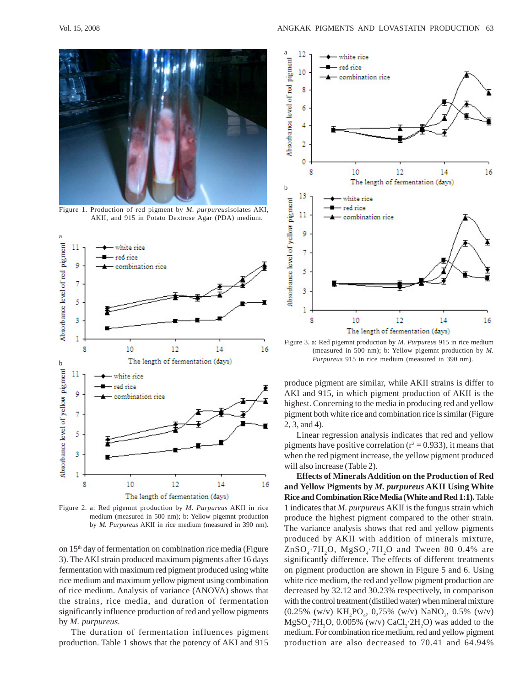

Figure 1. Production of red pigment by *M. purpureus*isolates AKI, AKII, and 915 in Potato Dextrose Agar (PDA) medium.



Figure 2. a: Red pigemnt production by *M. Purpureus* AKII in rice medium (measured in 500 nm); b: Yellow pigemnt production by *M. Purpureus* AKII in rice medium (measured in 390 nm).

on 15<sup>th</sup> day of fermentation on combination rice media (Figure 3). The AKI strain produced maximum pigments after 16 days fermentation with maximum red pigment produced using white rice medium and maximum yellow pigment using combination of rice medium. Analysis of variance (ANOVA) shows that the strains, rice media, and duration of fermentation significantly influence production of red and yellow pigments by *M. purpureus.*

The duration of fermentation influences pigment production. Table 1 shows that the potency of AKI and 915



Figure 3. a: Red pigemnt production by *M. Purpureus* 915 in rice medium (measured in 500 nm); b: Yellow pigemnt production by *M. Purpureus* 915 in rice medium (measured in 390 nm).

produce pigment are similar, while AKII strains is differ to AKI and 915, in which pigment production of AKII is the highest. Concerning to the media in producing red and yellow pigment both white rice and combination rice is similar (Figure 2, 3, and 4).

Linear regression analysis indicates that red and yellow pigments have positive correlation ( $r^2$  = 0.933), it means that when the red pigment increase, the yellow pigment produced will also increase (Table 2).

**Effects of Minerals Addition on the Production of Red and Yellow Pigments by** *M. purpureus* **AKII Using White Rice and Combination Rice Media (White and Red 1:1).** Table 1 indicates that *M. purpureus* AKII is the fungus strain which produce the highest pigment compared to the other strain. The variance analysis shows that red and yellow pigments produced by AKII with addition of minerals mixture,  $ZnSO_4$ ·7 $H_2O$ ,  $MgSO_4$ ·7 $H_2O$  and Tween 80 0.4% are significantly difference. The effects of different treatments on pigment production are shown in Figure 5 and 6. Using white rice medium, the red and yellow pigment production are decreased by 32.12 and 30.23% respectively, in comparison with the control treatment (distilled water) when mineral mixture  $(0.25\%$  (w/v)  $KH_{2}PO_{4}$ , 0,75% (w/v) NaNO<sub>3</sub>, 0.5% (w/v)  $MgSO_4$ :7H<sub>2</sub>O, 0.005% (w/v) CaCl<sub>2</sub>:2H<sub>2</sub>O) was added to the medium. For combination rice medium, red and yellow pigment production are also decreased to 70.41 and 64.94%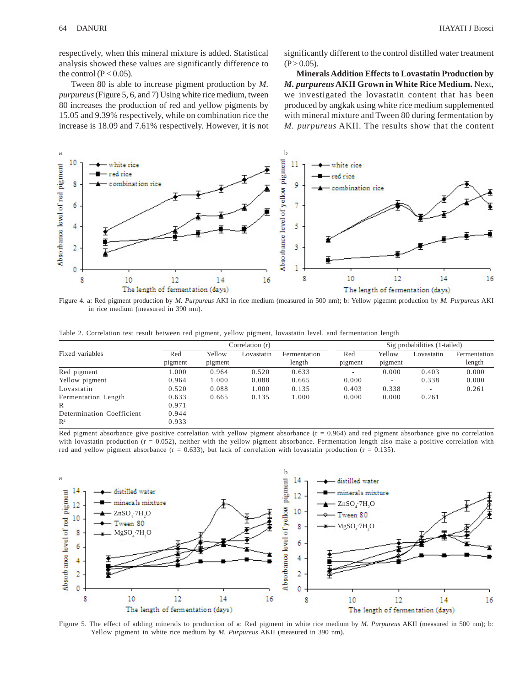respectively, when this mineral mixture is added. Statistical analysis showed these values are significantly difference to the control  $(P < 0.05)$ .

Tween 80 is able to increase pigment production by *M. purpureus* (Figure 5, 6, and 7) Using white rice medium, tween 80 increases the production of red and yellow pigments by 15.05 and 9.39% respectively, while on combination rice the increase is 18.09 and 7.61% respectively. However, it is not significantly different to the control distilled water treatment  $(P > 0.05)$ .

**Minerals Addition Effects to Lovastatin Production by** *M. purpureus* **AKII Grown in White Rice Medium.** Next, we investigated the lovastatin content that has been produced by angkak using white rice medium supplemented with mineral mixture and Tween 80 during fermentation by *M. purpureus* AKII. The results show that the content



Figure 4. a: Red pigment production by *M. Purpureus* AKI in rice medium (measured in 500 nm); b: Yellow pigemnt production by *M. Purpureus* AKI in rice medium (measured in 390 nm).

Table 2. Correlation test result between red pigment, yellow pigment, lovastatin level, and fermentation length

|                           | Correlation (r) |         |            |              | Sig probabilities (1-tailed) |                          |            |              |
|---------------------------|-----------------|---------|------------|--------------|------------------------------|--------------------------|------------|--------------|
| Fixed variables           | Red             | Yellow  | Lovastatin | Fermentation | Red                          | Yellow                   | Lovastatin | Fermentation |
|                           | pigment         | pigment |            | length       | pigment                      | pigment                  |            | length       |
| Red pigment               | 1.000           | 0.964   | 0.520      | 0.633        | ٠                            | 0.000                    | 0.403      | 0.000        |
| Yellow pigment            | 0.964           | 1.000   | 0.088      | 0.665        | 0.000                        | $\overline{\phantom{a}}$ | 0.338      | 0.000        |
| Lovastatin                | 0.520           | 0.088   | 1.000      | 0.135        | 0.403                        | 0.338                    |            | 0.261        |
| Fermentation Length       | 0.633           | 0.665   | 0.135      | 1.000        | 0.000                        | 0.000                    | 0.261      |              |
| R                         | 0.971           |         |            |              |                              |                          |            |              |
| Determination Coefficient | 0.944           |         |            |              |                              |                          |            |              |
| $\mathbb{R}^2$            | 0.933           |         |            |              |                              |                          |            |              |

Red pigment absorbance give positive correlation with yellow pigment absorbance  $(r = 0.964)$  and red pigment absorbance give no correlation with lovastatin production  $(r = 0.052)$ , neither with the yellow pigment absorbance. Fermentation length also make a positive correlation with red and yellow pigment absorbance ( $r = 0.633$ ), but lack of correlation with lovastatin production ( $r = 0.135$ ).



Figure 5. The effect of adding minerals to production of a: Red pigment in white rice medium by *M. Purpureus* AKII (measured in 500 nm); b: Yellow pigment in white rice medium by *M. Purpureus* AKII (measured in 390 nm).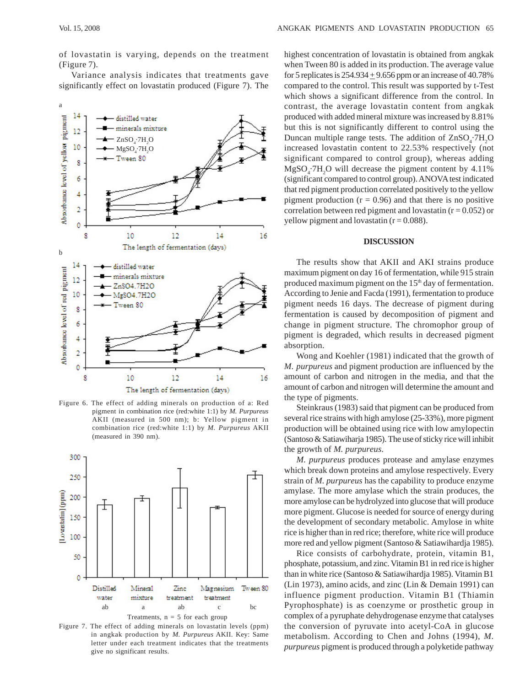of lovastatin is varying, depends on the treatment (Figure 7).

Variance analysis indicates that treatments gave significantly effect on lovastatin produced (Figure 7). The



Figure 6. The effect of adding minerals on production of a: Red pigment in combination rice (red:white 1:1) by *M. Purpureus* AKII (measured in 500 nm); b: Yellow pigment in combination rice (red:white 1:1) by *M. Purpureus* AKII (measured in 390 nm).



Figure 7. The effect of adding minerals on lovastatin levels (ppm) in angkak production by *M. Purpureus* AKII. Key: Same letter under each treatment indicates that the treatments give no significant results.

highest concentration of lovastatin is obtained from angkak when Tween 80 is added in its production. The average value for 5 replicates is  $254.934 \pm 9.656$  ppm or an increase of 40.78% compared to the control. This result was supported by t-Test which shows a significant difference from the control. In contrast, the average lovastatin content from angkak produced with added mineral mixture was increased by 8.81% but this is not significantly different to control using the Duncan multiple range tests. The addition of  $\text{ZnSO}_4$ :7H<sub>2</sub>O increased lovastatin content to 22.53% respectively (not significant compared to control group), whereas adding  $MgSO<sub>4</sub>$ :7H<sub>2</sub>O will decrease the pigment content by 4.11% (significant compared to control group). ANOVA test indicated that red pigment production correlated positively to the yellow pigment production  $(r = 0.96)$  and that there is no positive correlation between red pigment and lovastatin ( $r = 0.052$ ) or yellow pigment and lovastatin ( $r = 0.088$ ).

#### **DISCUSSION**

The results show that AKII and AKI strains produce maximum pigment on day 16 of fermentation, while 915 strain produced maximum pigment on the 15<sup>th</sup> day of fermentation. According to Jenie and Facda (1991), fermentation to produce pigment needs 16 days. The decrease of pigment during fermentation is caused by decomposition of pigment and change in pigment structure. The chromophor group of pigment is degraded, which results in decreased pigment absorption.

Wong and Koehler (1981) indicated that the growth of *M. purpureus* and pigment production are influenced by the amount of carbon and nitrogen in the media, and that the amount of carbon and nitrogen will determine the amount and the type of pigments.

Steinkraus (1983) said that pigment can be produced from several rice strains with high amylose (25-33%), more pigment production will be obtained using rice with low amylopectin (Santoso & Satiawiharja 1985). The use of sticky rice will inhibit the growth of *M. purpureus*.

*M. purpureus* produces protease and amylase enzymes which break down proteins and amylose respectively. Every strain of *M. purpureus* has the capability to produce enzyme amylase. The more amylase which the strain produces, the more amylose can be hydrolyzed into glucose that will produce more pigment. Glucose is needed for source of energy during the development of secondary metabolic. Amylose in white rice is higher than in red rice; therefore, white rice will produce more red and yellow pigment (Santoso & Satiawihardja 1985).

Rice consists of carbohydrate, protein, vitamin B1, phosphate, potassium, and zinc. Vitamin B1 in red rice is higher than in white rice (Santoso & Satiawihardja 1985). Vitamin B1 (Lin 1973), amino acids, and zinc (Lin & Demain 1991) can influence pigment production. Vitamin B1 (Thiamin Pyrophosphate) is as coenzyme or prosthetic group in complex of a pyruphate dehydrogenase enzyme that catalyses the conversion of pyruvate into acetyl-CoA in glucose metabolism. According to Chen and Johns (1994), *M. purpureus* pigment is produced through a polyketide pathway